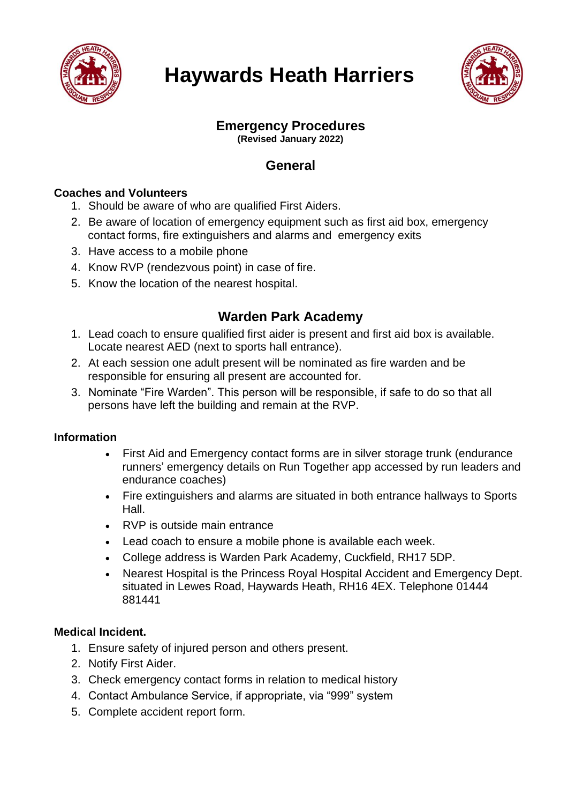

# **Haywards Heath Harriers**



# **Emergency Procedures**

**(Revised January 2022)**

## **General**

## **Coaches and Volunteers**

- 1. Should be aware of who are qualified First Aiders.
- 2. Be aware of location of emergency equipment such as first aid box, emergency contact forms, fire extinguishers and alarms and emergency exits
- 3. Have access to a mobile phone
- 4. Know RVP (rendezvous point) in case of fire.
- 5. Know the location of the nearest hospital.

## **Warden Park Academy**

- 1. Lead coach to ensure qualified first aider is present and first aid box is available. Locate nearest AED (next to sports hall entrance).
- 2. At each session one adult present will be nominated as fire warden and be responsible for ensuring all present are accounted for.
- 3. Nominate "Fire Warden". This person will be responsible, if safe to do so that all persons have left the building and remain at the RVP.

### **Information**

- First Aid and Emergency contact forms are in silver storage trunk (endurance runners' emergency details on Run Together app accessed by run leaders and endurance coaches)
- Fire extinguishers and alarms are situated in both entrance hallways to Sports Hall.
- RVP is outside main entrance
- Lead coach to ensure a mobile phone is available each week.
- College address is Warden Park Academy, Cuckfield, RH17 5DP.
- Nearest Hospital is the Princess Royal Hospital Accident and Emergency Dept. situated in Lewes Road, Haywards Heath, RH16 4EX. Telephone 01444 881441

### **Medical Incident.**

- 1. Ensure safety of injured person and others present.
- 2. Notify First Aider.
- 3. Check emergency contact forms in relation to medical history
- 4. Contact Ambulance Service, if appropriate, via "999" system
- 5. Complete accident report form.